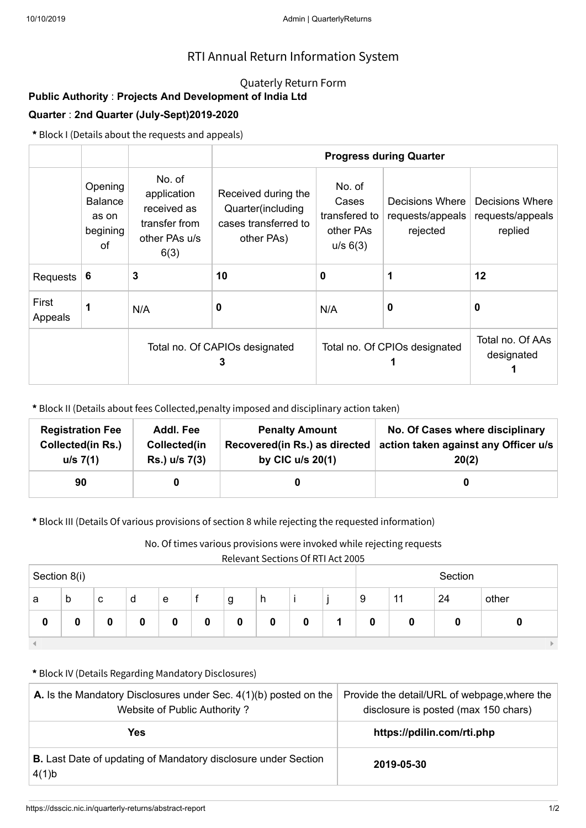## RTI Annual Return Information System

### Quaterly Return Form

# **Public Authority** : **Projects And Development of India Ltd**

### **Quarter** : **2nd Quarter (July-Sept)2019-2020**

**\*** Block I (Details about the requests and appeals)

|                  |                                               |                                                                                | <b>Progress during Quarter</b>                                                 |                                                           |                                                 |                                                |  |  |
|------------------|-----------------------------------------------|--------------------------------------------------------------------------------|--------------------------------------------------------------------------------|-----------------------------------------------------------|-------------------------------------------------|------------------------------------------------|--|--|
|                  | Opening<br>Balance<br>as on<br>begining<br>οf | No. of<br>application<br>received as<br>transfer from<br>other PAs u/s<br>6(3) | Received during the<br>Quarter(including<br>cases transferred to<br>other PAs) | No. of<br>Cases<br>transfered to<br>other PAs<br>u/s 6(3) | Decisions Where<br>requests/appeals<br>rejected | Decisions Where<br>requests/appeals<br>replied |  |  |
| Requests         | -6                                            | 3                                                                              | 10                                                                             | 0                                                         |                                                 | 12                                             |  |  |
| First<br>Appeals | 1                                             | N/A                                                                            | 0                                                                              | N/A                                                       | 0                                               | 0                                              |  |  |
|                  |                                               | Total no. Of CAPIOs designated<br>3                                            |                                                                                | Total no. Of CPIOs designated                             | Total no. Of AAs<br>designated                  |                                                |  |  |

**\*** Block II (Details about fees Collected,penalty imposed and disciplinary action taken)

| <b>Registration Fee</b>  | Addl. Fee     | <b>Penalty Amount</b>         | No. Of Cases where disciplinary      |
|--------------------------|---------------|-------------------------------|--------------------------------------|
| <b>Collected(in Rs.)</b> | Collected(in  | Recovered(in Rs.) as directed | action taken against any Officer u/s |
| u/s 7(1)                 | Rs.) u/s 7(3) | by CIC $u/s$ 20(1)            | 20(2)                                |
| 90                       |               |                               |                                      |

**\*** Block III (Details Of various provisions of section 8 while rejecting the requested information)

No. Of times various provisions were invoked while rejecting requests

Relevant Sections Of RTI Act 2005

| Section 8(i) |   |   |   |   |   | Section |   |   |  |          |    |    |       |
|--------------|---|---|---|---|---|---------|---|---|--|----------|----|----|-------|
| a            | b | c | d | e |   | g       | h |   |  | 9        | 11 | 24 | other |
| 0            |   | 0 | 0 | 0 | 0 |         | 0 | 0 |  | $\bf{0}$ |    | 0  |       |
|              |   |   |   |   |   |         |   |   |  |          |    |    |       |

#### **\*** Block IV (Details Regarding Mandatory Disclosures)

| <b>A.</b> Is the Mandatory Disclosures under Sec. $4(1)(b)$ posted on the<br>Website of Public Authority? | Provide the detail/URL of webpage, where the<br>disclosure is posted (max 150 chars) |
|-----------------------------------------------------------------------------------------------------------|--------------------------------------------------------------------------------------|
| Yes                                                                                                       | https://pdilin.com/rti.php                                                           |
| <b>B.</b> Last Date of updating of Mandatory disclosure under Section<br>4(1)b                            | 2019-05-30                                                                           |